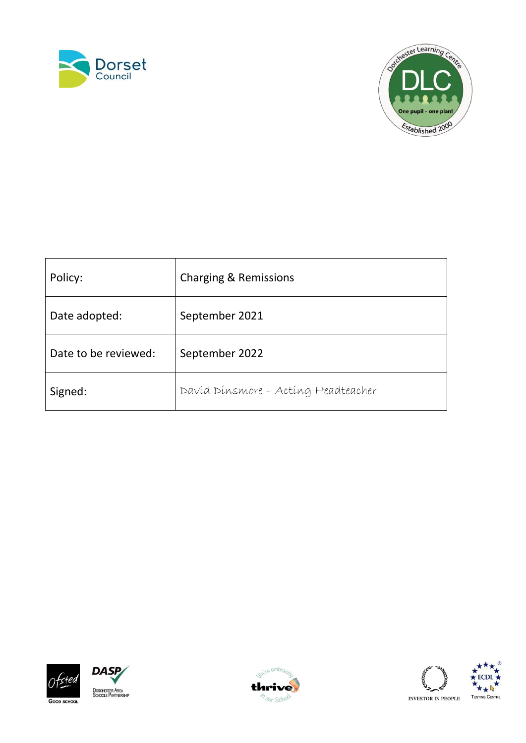



| Policy:              | <b>Charging &amp; Remissions</b>    |
|----------------------|-------------------------------------|
| Date adopted:        | September 2021                      |
| Date to be reviewed: | September 2022                      |
| Signed:              | Davíd Dínsmore - Acting Headteacher |











INVESTOR IN PEOPLE  $\,$